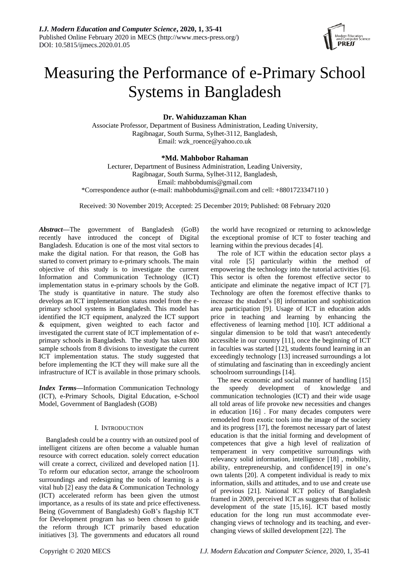

# Measuring the Performance of e-Primary School Systems in Bangladesh

## **Dr. Wahiduzzaman Khan**

Associate Professor, Department of Business Administration, Leading University, Ragibnagar, South Surma, Sylhet-3112, Bangladesh, Email: wzk\_roence@yahoo.co.uk

## **\*Md. Mahbobor Rahaman**

Lecturer, Department of Business Administration, Leading University, Ragibnagar, South Surma, Sylhet-3112, Bangladesh, Email: mahbobdumis@gmail.com \*Correspondence author (e-mail: mahbobdumis@gmail.com and cell: +8801723347110 )

Received: 30 November 2019; Accepted: 25 December 2019; Published: 08 February 2020

*Abstract***—**The government of Bangladesh (GoB) recently have introduced the concept of Digital Bangladesh. Education is one of the most vital sectors to make the digital nation. For that reason, the GoB has started to convert primary to e-primary schools. The main objective of this study is to investigate the current Information and Communication Technology (ICT) implementation status in e-primary schools by the GoB. The study is quantitative in nature. The study also develops an ICT implementation status model from the eprimary school systems in Bangladesh. This model has identified the ICT equipment, analyzed the ICT support & equipment, given weighted to each factor and investigated the current state of ICT implementation of eprimary schools in Bangladesh. The study has taken 800 sample schools from 8 divisions to investigate the current ICT implementation status. The study suggested that before implementing the ICT they will make sure all the infrastructure of ICT is available in those primary schools.

*Index Terms***—**Information Communication Technology (ICT), e-Primary Schools, Digital Education, e-School Model, Government of Bangladesh (GOB)

### I. INTRODUCTION

Bangladesh could be a country with an outsized pool of intelligent citizens are often become a valuable human resource with correct education. solely correct education will create a correct, civilized and developed nation [1]. To reform our education sector, arrange the schoolroom surroundings and redesigning the tools of learning is a vital hub [2] easy the data & Communication Technology (ICT) accelerated reform has been given the utmost importance, as a results of its state and price effectiveness. Being (Government of Bangladesh) GoB's flagship ICT for Development program has so been chosen to guide the reform through ICT primarily based education initiatives [3]. The governments and educators all round

the world have recognized or returning to acknowledge the exceptional promise of ICT to foster teaching and learning within the previous decades [4].

The role of ICT within the education sector plays a vital role [5] particularly within the method of empowering the technology into the tutorial activities [6]. This sector is often the foremost effective sector to anticipate and eliminate the negative impact of ICT [7]. Technology are often the foremost effective thanks to increase the student's [8] information and sophistication area participation [9]. Usage of ICT in education adds price in teaching and learning by enhancing the effectiveness of learning method [10]. ICT additional a singular dimension to be told that wasn't antecedently accessible in our country [11], once the beginning of ICT in faculties was started [12], students found learning in an exceedingly technology [13] increased surroundings a lot of stimulating and fascinating than in exceedingly ancient schoolroom surroundings [14].

The new economic and social manner of handling [15] the speedy development of knowledge and communication technologies (ICT) and their wide usage all told areas of life provoke new necessities and changes in education [16] . For many decades computers were remodeled from exotic tools into the image of the society and its progress [17], the foremost necessary part of latest education is that the initial forming and development of competences that give a high level of realization of temperament in very competitive surroundings with relevancy solid information, intelligence [18] , mobility, ability, entrepreneurship, and confidence[19] in one's own talents [20]. A competent individual is ready to mix information, skills and attitudes, and to use and create use of previous [21]. National ICT policy of Bangladesh framed in 2009, perceived ICT as suggests that of holistic development of the state [15,16]. ICT based mostly education for the long run must accommodate everchanging views of technology and its teaching, and everchanging views of skilled development [22]. The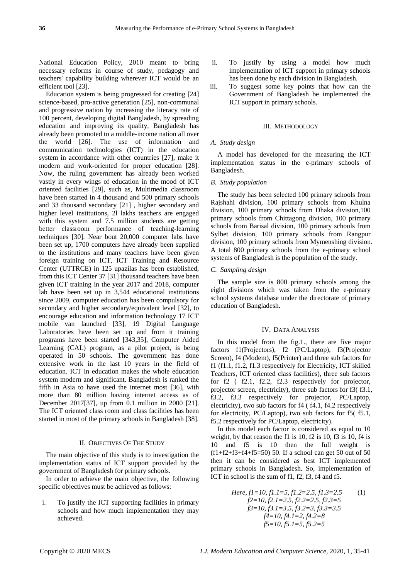National Education Policy, 2010 meant to bring necessary reforms in course of study, pedagogy and teachers' capability building wherever ICT would be an efficient tool [23].

Education system is being progressed for creating [24] science-based, pro-active generation [25], non-communal and progressive nation by increasing the literacy rate of 100 percent, developing digital Bangladesh, by spreading education and improving its quality, Bangladesh has already been promoted to a middle-income nation all over the world [26]. The use of information and communication technologies (ICT) in the education system in accordance with other countries [27], make it modern and work-oriented for proper education [28]. Now, the ruling government has already been worked vastly in every wings of education in the mood of ICT oriented facilities [29], such as, Multimedia classroom have been started in 4 thousand and 500 primary schools and 33 thousand secondary [21] , higher secondary and higher level institutions, 2l lakhs teachers are engaged with this system and 7.5 million students are getting better classroom performance of teaching-learning techniques [30]. Near bout 20,000 computer labs have been set up, 1700 computers have already been supplied to the institutions and many teachers have been given foreign training on ICT, ICT Training and Resource Center (UTTRCE) in 125 upazilas has been established, from this ICT Center 37 [31] thousand teachers have been given ICT training in the year 2017 and 2018, computer lab have been set up in 3,544 educational institutions since 2009, computer education has been compulsory for secondary and higher secondary/equivalent level [32], to encourage education and information technology 17 ICT mobile van launched [33], 19 Digital Language Laboratories have been set up and from it training programs have been started [343,35], Computer Aided Learning (CAL) program, as a pilot project, is being operated in 50 schools. The government has done extensive work in the last 10 years in the field of education. ICT in education makes the whole education system modern and significant. Bangladesh is ranked the fifth in Asia to have used the internet most [36], with more than 80 million having internet access as of December 2017[37], up from 0.1 million in 2000 [21]. The ICT oriented class room and class facilities has been started in most of the primary schools in Bangladesh [38].

#### II. OBJECTIVES OF THE STUDY

The main objective of this study is to investigation the implementation status of ICT support provided by the government of Bangladesh for primary schools.

In order to achieve the main objective, the following specific objectives must be achieved as follows:

i. To justify the ICT supporting facilities in primary schools and how much implementation they may achieved.

- ii. To justify by using a model how much implementation of ICT support in primary schools has been done by each division in Bangladesh.
- iii. To suggest some key points that how can the Government of Bangladesh be implemented the ICT support in primary schools.

### III. METHODOLOGY

#### *A. Study design*

A model has developed for the measuring the ICT implementation status in the e-primary schools of Bangladesh.

### *B. Study population*

The study has been selected 100 primary schools from Rajshahi division, 100 primary schools from Khulna division, 100 primary schools from Dhaka division,100 primary schools from Chittagong division, 100 primary schools from Barisal division, 100 primary schools from Sylhet division, 100 primary schools from Rangpur division, 100 primary schools from Mymenshing division. A total 800 primary schools from the e-primary school systems of Bangladesh is the population of the study.

#### *C. Sampling design*

The sample size is 800 primary schools among the eight divisions which was taken from the e-primary school systems database under the directorate of primary education of Bangladesh.

#### IV. DATA ANALYSIS

In this model from the fig.1., there are five major factors f1(Projectors), f2 (PC/Laptop), f3(Projector Screen), f4 (Modem), f5(Printer) and three sub factors for f1 (f1.1, f1.2, f1.3 respectively for Electricity, ICT skilled Teachers, ICT oriented class facilities), three sub factors for f2 ( f2.1, f2.2, f2.3 respectively for projector, projector screen, electricity), three sub factors for f3( f3.1, f3.2, f3.3 respectively for projector, PC/Laptop, electricity), two sub factors for f4 ( f4.1, f4.2 respectively for electricity, PC/Laptop), two sub factors for f5( f5.1, f5.2 respectively for PC/Laptop, electricity).

In this model each factor is considered as equal to 10 weight, by that reason the f1 is 10, f2 is 10, f3 is 10, f4 is 10 and f5 is 10 then the full weight is  $(f1+f2+f3+f4+f5=50)$  50. If a school can get 50 out of 50 then it can be considered as best ICT implemented primary schools in Bangladesh. So, implementation of ICT in school is the sum of f1, f2, f3, f4 and f5.

Here, 
$$
f1=10
$$
,  $f1.1=5$ ,  $f1.2=2.5$ ,  $f1.3=2.5$  (1)  
\n $f2=10$ ,  $f2.1=2.5$ ,  $f2.2=2.5$ ,  $f2.3=5$   
\n $f3=10$ ,  $f3.1=3.5$ ,  $f3.2=3$ ,  $f3.3=3.5$   
\n $f4=10$ ,  $f4.1=2$ ,  $f4.2=8$   
\n $f5=10$ ,  $f5.1=5$ ,  $f5.2=5$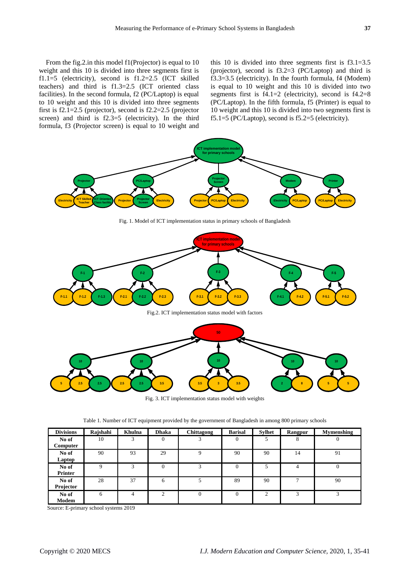From the fig.2.in this model f1(Projector) is equal to 10 weight and this 10 is divided into three segments first is f1.1=5 (electricity), second is f1.2=2.5 (ICT skilled teachers) and third is f1.3=2.5 (ICT oriented class facilities). In the second formula, f2 (PC/Laptop) is equal to 10 weight and this 10 is divided into three segments first is f2.1=2.5 (projector), second is f2.2=2.5 (projector screen) and third is f2.3=5 (electricity). In the third formula, f3 (Projector screen) is equal to 10 weight and

this 10 is divided into three segments first is f3.1=3.5 (projector), second is f3.2=3 (PC/Laptop) and third is f3.3=3.5 (electricity). In the fourth formula, f4 (Modem) is equal to 10 weight and this 10 is divided into two segments first is  $f4.1=2$  (electricity), second is  $f4.2=8$ (PC/Laptop). In the fifth formula, f5 (Printer) is equal to 10 weight and this 10 is divided into two segments first is f5.1=5 (PC/Laptop), second is f5.2=5 (electricity).



Fig. 3. ICT implementation status model with weights

| Table 1. Number of ICT equipment provided by the government of Bangladesh in among 800 primary schools |  |  |  |  |  |  |  |  |
|--------------------------------------------------------------------------------------------------------|--|--|--|--|--|--|--|--|
|--------------------------------------------------------------------------------------------------------|--|--|--|--|--|--|--|--|

| <b>Divisions</b> | Rajshahi | <b>Khulna</b> | <b>Dhaka</b> | Chittagong   | <b>Barisal</b> | <b>Sylhet</b> | <b>Rangpur</b> | <b>Mymenshing</b> |
|------------------|----------|---------------|--------------|--------------|----------------|---------------|----------------|-------------------|
| No of            | 10       | 3             | $\Omega$     | 3            | $\theta$       | 5             | 8              |                   |
| Computer         |          |               |              |              |                |               |                |                   |
| No of            | 90       | 93            | 29           | 9            | 90             | 90            | 14             | 91                |
| Laptop           |          |               |              |              |                |               |                |                   |
| No of            | 9        | 3             | $\mathbf{0}$ | 3            | $\mathbf{0}$   | 5             | 4              | $\theta$          |
| <b>Printer</b>   |          |               |              |              |                |               |                |                   |
| No of            | 28       | 37            | 6            | 5            | 89             | 90            | $\mathcal{I}$  | 90                |
| Projector        |          |               |              |              |                |               |                |                   |
| No of            | 6        | 4             | 2            | $\mathbf{0}$ | $\Omega$       | 2             | 3              | 3                 |
| Modem            |          |               |              |              |                |               |                |                   |

Source: E-primary school systems 2019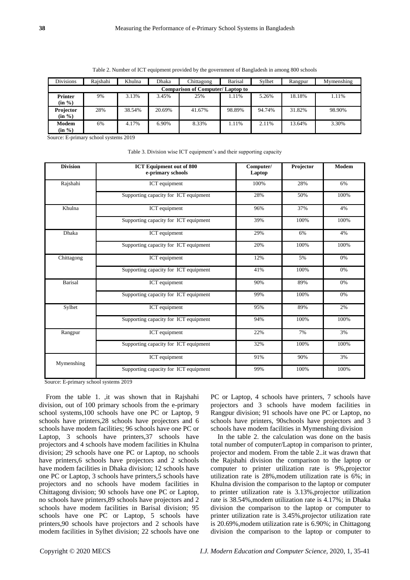| <b>Divisions</b>           | Rajshahi                                | Khulna | Dhaka  | Chittagong | <b>Barisal</b> | Sylhet | Rangpur | Mymenshing |  |
|----------------------------|-----------------------------------------|--------|--------|------------|----------------|--------|---------|------------|--|
|                            | <b>Comparison of Computer/Laptop to</b> |        |        |            |                |        |         |            |  |
| <b>Printer</b><br>(in %)   | 9%                                      | 3.13%  | 3.45%  | 25%        | 1.11%          | 5.26%  | 18.18%  | 1.11%      |  |
| <b>Projector</b><br>(in %) | 28%                                     | 38.54% | 20.69% | 41.67%     | 98.89%         | 94.74% | 31.82%  | 98.90%     |  |
| Modem<br>(in %)            | 6%                                      | 4.17%  | 6.90%  | 8.33%      | 1.11%          | 2.11%  | 13.64%  | 3.30%      |  |

| Table 2. Number of ICT equipment provided by the government of Bangladesh in among 800 schools |  |  |  |
|------------------------------------------------------------------------------------------------|--|--|--|
|                                                                                                |  |  |  |

Source: E-primary school systems 2019

|  |  |  | Table 3. Division wise ICT equipment's and their supporting capacity |  |
|--|--|--|----------------------------------------------------------------------|--|
|  |  |  |                                                                      |  |

| <b>Division</b> | <b>ICT Equipment out of 800</b><br>e-primary schools | Computer/<br>Laptop | Projector | Modem |
|-----------------|------------------------------------------------------|---------------------|-----------|-------|
| Rajshahi        | <b>ICT</b> equipment                                 | 100%                | 28%       | 6%    |
|                 | Supporting capacity for ICT equipment                | 28%                 | 50%       | 100%  |
| Khulna          | ICT equipment                                        | 96%                 | 37%       | 4%    |
|                 | Supporting capacity for ICT equipment                | 39%                 | 100%      | 100%  |
| <b>Dhaka</b>    | <b>ICT</b> equipment                                 | 29%                 | 6%        | 4%    |
|                 | Supporting capacity for ICT equipment                | 20%                 | 100%      | 100%  |
| Chittagong      | ICT equipment                                        | 12%                 | 5%        | 0%    |
|                 | Supporting capacity for ICT equipment                | 41%                 | 100%      | 0%    |
| Barisal         | <b>ICT</b> equipment                                 | 90%                 | 89%       | 0%    |
|                 | Supporting capacity for ICT equipment                | 99%                 | 100%      | 0%    |
| Sylhet          | ICT equipment                                        | 95%                 | 89%       | 2%    |
|                 | Supporting capacity for ICT equipment                | 94%                 | 100%      | 100%  |
| Rangpur         | ICT equipment                                        | 22%                 | 7%        | 3%    |
|                 | Supporting capacity for ICT equipment                | 32%                 | 100%      | 100%  |
| Mymenshing      | ICT equipment                                        | 91%                 | 90%       | 3%    |
|                 | Supporting capacity for ICT equipment                | 99%                 | 100%      | 100%  |

Source: E-primary school systems 2019

From the table 1. ,it was shown that in Rajshahi division, out of 100 primary schools from the e-primary school systems,100 schools have one PC or Laptop, 9 schools have printers,28 schools have projectors and 6 schools have modem facilities; 96 schools have one PC or Laptop, 3 schools have printers,37 schools have projectors and 4 schools have modem facilities in Khulna division; 29 schools have one PC or Laptop, no schools have printers, 6 schools have projectors and 2 schools have modem facilities in Dhaka division; 12 schools have one PC or Laptop, 3 schools have printers,5 schools have projectors and no schools have modem facilities in Chittagong division; 90 schools have one PC or Laptop, no schools have printers,89 schools have projectors and 2 schools have modem facilities in Barisal division; 95 schools have one PC or Laptop, 5 schools have printers,90 schools have projectors and 2 schools have modem facilities in Sylhet division; 22 schools have one

PC or Laptop, 4 schools have printers, 7 schools have projectors and 3 schools have modem facilities in Rangpur division; 91 schools have one PC or Laptop, no schools have printers, 90schools have projectors and 3 schools have modem facilities in Mymenshing division

In the table 2. the calculation was done on the basis total number of computer/Laptop in comparison to printer, projector and modem. From the table 2..it was drawn that the Rajshahi division the comparison to the laptop or computer to printer utilization rate is 9%,projector utilization rate is 28%,modem utilization rate is 6%; in Khulna division the comparison to the laptop or computer to printer utilization rate is 3.13%,projector utilization rate is 38.54%,modem utilization rate is 4.17%; in Dhaka division the comparison to the laptop or computer to printer utilization rate is 3.45%,projector utilization rate is 20.69%,modem utilization rate is 6.90%; in Chittagong division the comparison to the laptop or computer to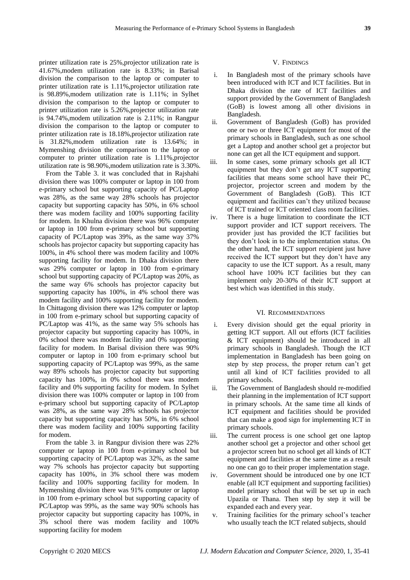printer utilization rate is 25%,projector utilization rate is 41.67%,modem utilization rate is 8.33%; in Barisal division the comparison to the laptop or computer to printer utilization rate is 1.11%,projector utilization rate is 98.89%,modem utilization rate is 1.11%; in Sylhet division the comparison to the laptop or computer to printer utilization rate is 5.26%,projector utilization rate is 94.74%,modem utilization rate is 2.11%; in Rangpur division the comparison to the laptop or computer to printer utilization rate is 18.18%,projector utilization rate is 31.82%,modem utilization rate is 13.64%; in Mymenshing division the comparison to the laptop or computer to printer utilization rate is 1.11%,projector utilization rate is 98.90%,modem utilization rate is 3.30%.

From the Table 3. it was concluded that in Rajshahi division there was 100% computer or laptop in 100 from e-primary school but supporting capacity of PC/Laptop was 28%, as the same way 28% schools has projector capacity but supporting capacity has 50%, in 6% school there was modem facility and 100% supporting facility for modem. In Khulna division there was 96% computer or laptop in 100 from e-primary school but supporting capacity of PC/Laptop was 39%, as the same way 37% schools has projector capacity but supporting capacity has 100%, in 4% school there was modem facility and 100% supporting facility for modem. In Dhaka division there was 29% computer or laptop in 100 from e-primary school but supporting capacity of PC/Laptop was 20%, as the same way 6% schools has projector capacity but supporting capacity has 100%, in 4% school there was modem facility and 100% supporting facility for modem. In Chittagong division there was 12% computer or laptop in 100 from e-primary school but supporting capacity of PC/Laptop was 41%, as the same way 5% schools has projector capacity but supporting capacity has 100%, in 0% school there was modem facility and 0% supporting facility for modem. In Barisal division there was 90% computer or laptop in 100 from e-primary school but supporting capacity of PC/Laptop was 99%, as the same way 89% schools has projector capacity but supporting capacity has 100%, in 0% school there was modem facility and 0% supporting facility for modem. In Sylhet division there was 100% computer or laptop in 100 from e-primary school but supporting capacity of PC/Laptop was 28%, as the same way 28% schools has projector capacity but supporting capacity has 50%, in 6% school there was modem facility and 100% supporting facility for modem.

From the table 3. in Rangpur division there was 22% computer or laptop in 100 from e-primary school but supporting capacity of PC/Laptop was 32%, as the same way 7% schools has projector capacity but supporting capacity has 100%, in 3% school there was modem facility and 100% supporting facility for modem. In Mymenshing division there was 91% computer or laptop in 100 from e-primary school but supporting capacity of PC/Laptop was 99%, as the same way 90% schools has projector capacity but supporting capacity has 100%, in 3% school there was modem facility and 100% supporting facility for modem

## V. FINDINGS

- i. In Bangladesh most of the primary schools have been introduced with ICT and ICT facilities. But in Dhaka division the rate of ICT facilities and support provided by the Government of Bangladesh (GoB) is lowest among all other divisions in Bangladesh.
- ii. Government of Bangladesh (GoB) has provided one or two or three ICT equipment for most of the primary schools in Bangladesh, such as one school get a Laptop and another school get a projector but none can get all the ICT equipment and support.
- iii. In some cases, some primary schools get all ICT equipment but they don't get any ICT supporting facilities that means some school have their PC, projector, projector screen and modem by the Government of Bangladesh (GoB). This ICT equipment and facilities can't they utilized because of ICT trained or ICT oriented class room facilities.
- iv. There is a huge limitation to coordinate the ICT support provider and ICT support receivers. The provider just has provided the ICT facilities but they don't look in to the implementation status. On the other hand, the ICT support recipient just have received the ICT support but they don't have any capacity to use the ICT support. As a result, many school have 100% ICT facilities but they can implement only 20-30% of their ICT support at best which was identified in this study.

#### VI. RECOMMENDATIONS

- Every division should get the equal priority in getting ICT support. All out efforts (ICT facilities & ICT equipment) should be introduced in all primary schools in Bangladesh. Though the ICT implementation in Bangladesh has been going on step by step process, the proper return can't get until all kind of ICT facilities provided to all primary schools.
- ii. The Government of Bangladesh should re-modified their planning in the implementation of ICT support in primary schools. At the same time all kinds of ICT equipment and facilities should be provided that can make a good sign for implementing ICT in primary schools.
- iii. The current process is one school get one laptop another school get a projector and other school get a projector screen but no school get all kinds of ICT equipment and facilities at the same time as a result no one can go to their proper implementation stage.
- iv. Government should be introduced one by one ICT enable (all ICT equipment and supporting facilities) model primary school that will be set up in each Upazila or Thana. Then step by step it will be expanded each and every year.
- v. Training facilities for the primary school's teacher who usually teach the ICT related subjects, should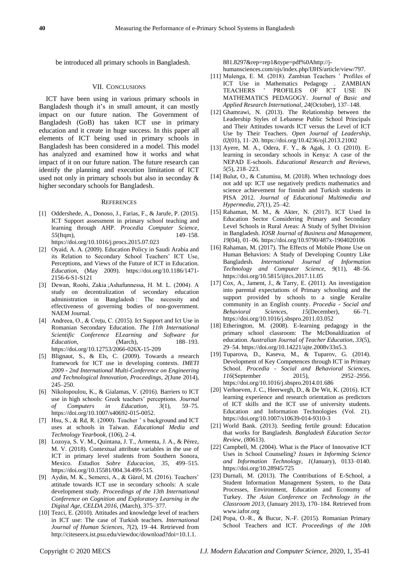be introduced all primary schools in Bangladesh.

#### VII. CONCLUSIONS

ICT have been using in various primary schools in Bangladesh though it's in small amount, it can mostly impact on our future nation. The Government of Bangladesh (GoB) has taken ICT use in primary education and it create in huge success. In this paper all elements of ICT being used in primary schools in Bangladesh has been considered in a model. This model has analyzed and examined how it works and what impact of it on our future nation. The future research can identify the planning and execution limitation of ICT used not only in primary schools but also in seconday & higher secondary schools for Bangladesh.

#### **REFERENCES**

- [1] Oddershede, A., Donoso, J., Farias, F., & Jarufe, P. (2015). ICT Support assessment in primary school teaching and learning through AHP. *Procedia Computer Science*, *55*(Itqm), 149–158. https://doi.org/10.1016/j.procs.2015.07.023
- [2] Oyaid, A. A. (2009). Education Policy in Saudi Arabia and its Relation to Secondary School Teachers' ICT Use, Perceptions, and Views of the Future of ICT in Education. *Education*, (May 2009). https://doi.org/10.1186/1471- 2156-6-S1-S121
- [3] Dewan, Roohi, Zakia ;Ashafunnessa, H. M. L. (2004). A study on decentralization of secondary education administration in Bangladesh : The necessity and effectiveness of governing bodies of non-government. NAEM Journal.
- [4] Andreea, O., & Creţu, C. (2015). Ict Support and Ict Use in Romanian Secondary Education. *The 11th International Scientific Conference ELearning and Software for Education*, (March), 188–193. https://doi.org/10.12753/2066-026X-15-209
- [5] Blignaut, S., & Els, C. (2009). Towards a research framework for ICT use in developing contexts. *IMETI 2009 - 2nd International Multi-Conference on Engineering and Technological Innovation, Proceedings*, *2*(June 2014), 245–250.
- [6] Nikolopoulou, K., & Gialamas, V. (2016). Barriers to ICT use in high schools: Greek teachers' perceptions. *Journal of Computers in Education*, *3*(1), 59–75. https://doi.org/10.1007/s40692-015-0052.
- [7] Hsu, S., & Rd, R. (2000). Teacher ' s background and ICT uses at schools in Taiwan. *Educational Media and Technology Yearbook*, (106), 2–4.
- [8] Lozoya, S. V. M., Quintana, J. T., Armenta, J. A., & Pérez, M. V. (2018). Contextual attribute variables in the use of ICT in primary level students from Southern Sonora, Mexico. *Estudios Sobre Educacion*, *35*, 499–515. https://doi.org/10.15581/004.34.499-515.
- [9] Aydin, M. K., Semerci, A., & Gürol, M. (2016). Teachers' attitude towards ICT use in secondary schools: A scale development study. *Proceedings of the 13th International Conference on Cognition and Exploratory Learning in the Digital Age, CELDA 2016*, (March), 375–377.
- [10] Tezci, E. (2010). Attitudes and knowledge level of teachers in ICT use: The case of Turkish teachers. *International Journal of Human Sciences*, *7*(2), 19–44. Retrieved from http://citeseerx.ist.psu.edu/viewdoc/download?doi=10.1.1.

881.8297&rep=rep1&type=pdf%0Ahttp://jhumansciences.com/ojs/index.php/IJHS/article/view/797.

- [11] Mulenga, E. M. (2018). Zambian Teachers ' Profiles of ICT Use in Mathematics Pedagogy . ZAMBIAN TEACHERS ' PROFILES OF MATHEMATICS PEDAGOGY. *Journal of Basic and Applied Research International*, *24*(October), 137–148.
- [12] Ghamrawi, N. (2013). The Relationship between the Leadership Styles of Lebanese Public School Principals and Their Attitudes towards ICT versus the Level of ICT Use by Their Teachers. *Open Journal of Leadership*, *02*(01), 11–20. https://doi.org/10.4236/ojl.2013.21002
- [13] Ayere, M. A., Odera, F. Y., & Agak, J. O. (2010). Elearning in secondary schools in Kenya: A case of the NEPAD E-schools. *Educational Research and Reviews*, *5*(5), 218–223.
- [14] Bulut, O., & Cutumisu, M. (2018). When technology does not add up: ICT use negatively predicts mathematics and science achievement for finnish and Turkish students in PISA 2012. *Journal of Educational Multimedia and Hypermedia*, *27*(1), 25–42.
- [15] Rahaman, M. M., & Akter, N. (2017). ICT Used In Education Sector Considering Primary and Secondary Level Schools in Rural Areas: A Study of Sylhet Division in Bangladesh. *IOSR Journal of Business and Management*, *19*(04), 01–06[. https://doi.org/10.9790/487x-1904020106](https://doi.org/10.9790/487x-1904020106)
- [16] Rahaman, M. (2017). The Effects of Mobile Phone Use on Human Behaviors: A Study of Developing Country Like Bangladesh. *International Journal of Information Technology and Computer Science*, *9*(11), 48–56. https://doi.org/10.5815/ijitcs.2017.11.05
- [17] Cox, A., Jament, J., & Tarry, E. (2011). An investigation into parental expectations of Primary schooling and the support provided by schools to a single Keralite community in an English county. *Procedia - Social and Behavioral Sciences*, *15*(December), https://doi.org/10.1016/j.sbspro.2011.03.052
- [18] Etherington, M. (2008). E-learning pedagogy in the primary school classroom: The McDonaldization of education. *Australian Journal of Teacher Education*, *33*(5), 29–54. https://doi.org/10.14221/ajte.2008v33n5.3.
- [19] Tuparova, D., Kaseva, M., & Tuparov, G. (2014). Development of Key Competences through ICT in Primary School. *Procedia - Social and Behavioral Sciences*, *116*(September 2015), 2952–2956. https://doi.org/10.1016/j.sbspro.2014.01.686
- [20] Verhoeven, J. C., Heerwegh, D., & De Wit, K. (2016). ICT learning experience and research orientation as predictors of ICT skills and the ICT use of university students. Education and Information Technologies (Vol. 21). https://doi.org/10.1007/s10639-014-9310-3
- [21] World Bank. (2013). Seeding fertile ground: Education that works for Bangladesh. *Bangladesh Education Sector Review*, (80613).
- [22] Campbell, M. (2004). What is the Place of Innovative ICT Uses in School Counseling? *Issues in Informing Science and Information Technology*, *1*(January), 0133–0140. https://doi.org/10.28945/725
- [23] Durnali, M. (2013). The Contributions of E-School, a Student Information Management System, to the Data Processes, Environment, Education and Economy of Turkey. *The Asian Conference on Technology in the Classroom 2013*, (January 2013), 170–184. Retrieved from www.iafor.org
- [24] Popa, O.-R., & Bucur, N.-F. (2015). Romanian Primary School Teachers and ICT. *Proceedings of the 10th*